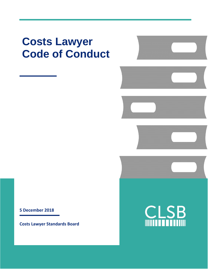# **Costs Lawyer Code of Conduct**

**5 December 2018**

**Costs Lawyer Standards Board**



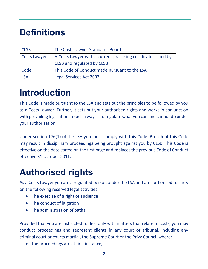## **Definitions**

| <b>CLSB</b>         | The Costs Lawyer Standards Board                               |
|---------------------|----------------------------------------------------------------|
| <b>Costs Lawyer</b> | A Costs Lawyer with a current practising certificate issued by |
|                     | CLSB and regulated by CLSB                                     |
| Code                | This Code of Conduct made pursuant to the LSA                  |
| <b>LSA</b>          | <b>Legal Services Act 2007</b>                                 |

## **Introduction**

This Code is made pursuant to the LSA and sets out the principles to be followed by you as a Costs Lawyer. Further, it sets out your authorised rights and works in conjunction with prevailing legislation in such a way as to regulate what you can and cannot do under your authorisation.

Under section 176(1) of the LSA you must comply with this Code. Breach of this Code may result in disciplinary proceedings being brought against you by CLSB. This Code is effective on the date stated on the first page and replaces the previous Code of Conduct effective 31 October 2011.

## **Authorised rights**

As a Costs Lawyer you are a regulated person under the LSA and are authorised to carry on the following reserved legal activities:

- The exercise of a right of audience
- The conduct of litigation
- The administration of oaths

Provided that you are instructed to deal only with matters that relate to costs, you may conduct proceedings and represent clients in any court or tribunal, including any criminal court or courts martial, the Supreme Court or the Privy Council where:

• the proceedings are at first instance;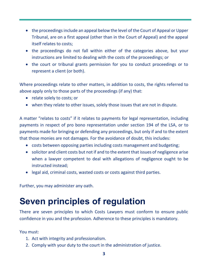- the proceedings include an appeal below the level of the Court of Appeal or Upper Tribunal, are on a first appeal (other than in the Court of Appeal) and the appeal itself relates to costs;
- the proceedings do not fall within either of the categories above, but your instructions are limited to dealing with the costs of the proceedings; or
- the court or tribunal grants permission for you to conduct proceedings or to represent a client (or both).

Where proceedings relate to other matters, in addition to costs, the rights referred to above apply only to those parts of the proceedings (if any) that:

- relate solely to costs; or
- when they relate to other issues, solely those issues that are not in dispute.

A matter "relates to costs" if it relates to payments for legal representation, including payments in respect of pro bono representation under section 194 of the LSA, or to payments made for bringing or defending any proceedings, but only if and to the extent that those monies are not damages. For the avoidance of doubt, this includes:

- costs between opposing parties including costs management and budgeting;
- solicitor and client costs but not if and to the extent that issues of negligence arise when a lawyer competent to deal with allegations of negligence ought to be instructed instead;
- legal aid, criminal costs, wasted costs or costs against third parties.

Further, you may administer any oath.

## **Seven principles of regulation**

There are seven principles to which Costs Lawyers must conform to ensure public confidence in you and the profession. Adherence to these principles is mandatory.

You must:

- 1. Act with integrity and professionalism.
- 2. Comply with your duty to the court in the administration of justice.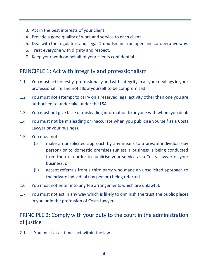- 3. Act in the best interests of your client.
- 4. Provide a good quality of work and service to each client.
- 5. Deal with the regulators and Legal Ombudsman in an open and co-operative way.
- 6. Treat everyone with dignity and respect.
- 7. Keep your work on behalf of your clients confidential.

### PRINCIPLE 1: Act with integrity and professionalism

- 1.1 You must act honestly, professionally and with integrity in all your dealings in your professional life and not allow yourself to be compromised.
- 1.2 You must not attempt to carry on a reserved legal activity other than one you are authorised to undertake under the LSA.
- 1.3 You must not give false or misleading information to anyone with whom you deal.
- 1.4 You must not be misleading or inaccurate when you publicise yourself as a Costs Lawyer or your business.
- 1.5 You must not:
	- (i) make an unsolicited approach by any means to a private individual (lay person) or to domestic premises (unless a business is being conducted from there) in order to publicise your service as a Costs Lawyer or your business; or
	- (ii) accept referrals from a third party who made an unsolicited approach to the private individual (lay person) being referred.
- 1.6 You must not enter into any fee arrangements which are unlawful.
- 1.7 You must not act in any way which is likely to diminish the trust the public places in you or in the profession of Costs Lawyers.

### PRINCIPLE 2: Comply with your duty to the court in the administration of justice

2.1 You must at all times act within the law.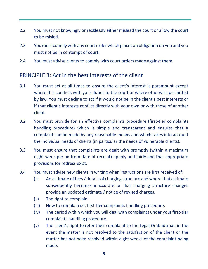- 2.2 You must not knowingly or recklessly either mislead the court or allow the court to be misled.
- 2.3 You must comply with any court order which places an obligation on you and you must not be in contempt of court.
- 2.4 You must advise clients to comply with court orders made against them.

#### PRINCIPLE 3: Act in the best interests of the client

- 3.1 You must act at all times to ensure the client's interest is paramount except where this conflicts with your duties to the court or where otherwise permitted by law. You must decline to act if it would not be in the client's best interests or if that client's interests conflict directly with your own or with those of another client.
- 3.2 You must provide for an effective complaints procedure (first-tier complaints handling procedure) which is simple and transparent and ensures that a complaint can be made by any reasonable means and which takes into account the individual needs of clients (in particular the needs of vulnerable clients).
- 3.3 You must ensure that complaints are dealt with promptly (within a maximum eight week period from date of receipt) openly and fairly and that appropriate provisions for redress exist.
- 3.4 You must advise new clients in writing when instructions are first received of:
	- (i) An estimate of fees / details of charging structure and where that estimate subsequently becomes inaccurate or that charging structure changes provide an updated estimate / notice of revised charges.
	- (ii) The right to complain.
	- (iii) How to complain i.e. first-tier complaints handling procedure.
	- (iv) The period within which you will deal with complaints under your first-tier complaints handling procedure.
	- (v) The client's right to refer their complaint to the Legal Ombudsman in the event the matter is not resolved to the satisfaction of the client or the matter has not been resolved within eight weeks of the complaint being made.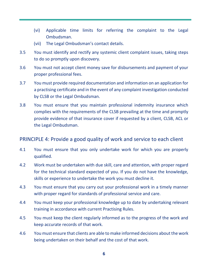- (vi) Applicable time limits for referring the complaint to the Legal Ombudsman.
- (vii) The Legal Ombudsman's contact details.
- 3.5 You must identify and rectify any systemic client complaint issues, taking steps to do so promptly upon discovery.
- 3.6 You must not accept client money save for disbursements and payment of your proper professional fees.
- 3.7 You must provide required documentation and information on an application for a practising certificate and in the event of any complaint investigation conducted by CLSB or the Legal Ombudsman.
- 3.8 You must ensure that you maintain professional indemnity insurance which complies with the requirements of the CLSB prevailing at the time and promptly provide evidence of that insurance cover if requested by a client, CLSB, ACL or the Legal Ombudsman.

#### PRINCIPLE 4: Provide a good quality of work and service to each client

- 4.1 You must ensure that you only undertake work for which you are properly qualified.
- 4.2 Work must be undertaken with due skill, care and attention, with proper regard for the technical standard expected of you. If you do not have the knowledge, skills or experience to undertake the work you must decline it.
- 4.3 You must ensure that you carry out your professional work in a timely manner with proper regard for standards of professional service and care.
- 4.4 You must keep your professional knowledge up to date by undertaking relevant training in accordance with current Practising Rules.
- 4.5 You must keep the client regularly informed as to the progress of the work and keep accurate records of that work.
- 4.6 You must ensure that clients are able to make informed decisions about the work being undertaken on their behalf and the cost of that work.